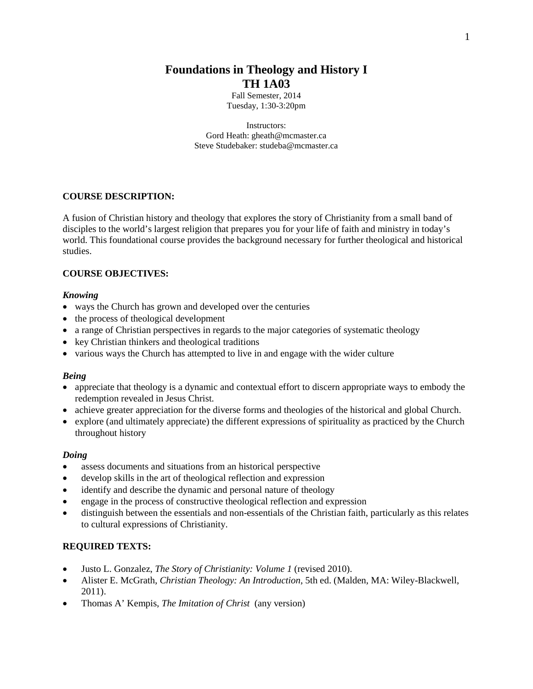# **Foundations in Theology and History I TH 1A03**

Fall Semester, 2014 Tuesday, 1:30-3:20pm

Instructors: Gord Heath: [gheath@mcmaster.ca](mailto:gheath@mcmaster.ca) Steve Studebaker: studeba@mcmaster.ca

## **COURSE DESCRIPTION:**

A fusion of Christian history and theology that explores the story of Christianity from a small band of disciples to the world's largest religion that prepares you for your life of faith and ministry in today's world. This foundational course provides the background necessary for further theological and historical studies.

### **COURSE OBJECTIVES:**

### *Knowing*

- ways the Church has grown and developed over the centuries
- the process of theological development
- a range of Christian perspectives in regards to the major categories of systematic theology
- key Christian thinkers and theological traditions
- various ways the Church has attempted to live in and engage with the wider culture

### *Being*

- appreciate that theology is a dynamic and contextual effort to discern appropriate ways to embody the redemption revealed in Jesus Christ.
- achieve greater appreciation for the diverse forms and theologies of the historical and global Church.
- explore (and ultimately appreciate) the different expressions of spirituality as practiced by the Church throughout history

### *Doing*

- assess documents and situations from an historical perspective
- develop skills in the art of theological reflection and expression
- identify and describe the dynamic and personal nature of theology
- engage in the process of constructive theological reflection and expression
- distinguish between the essentials and non-essentials of the Christian faith, particularly as this relates to cultural expressions of Christianity.

## **REQUIRED TEXTS:**

- Justo L. Gonzalez, *The Story of Christianity: Volume 1* (revised 2010).
- Alister E. McGrath, *Christian Theology: An Introduction*, 5th ed. (Malden, MA: Wiley-Blackwell, 2011).
- Thomas A' Kempis, *The Imitation of Christ* (any version)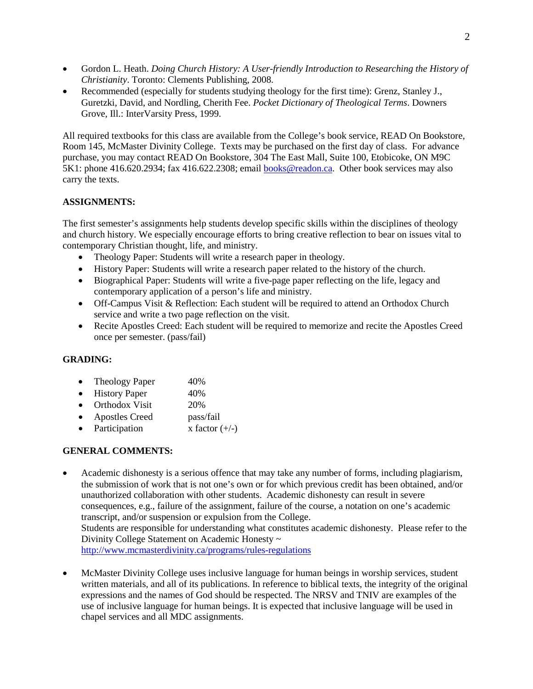- Gordon L. Heath. *Doing Church History: A User-friendly Introduction to Researching the History of Christianity*. Toronto: Clements Publishing, 2008.
- Recommended (especially for students studying theology for the first time): Grenz, Stanley J., Guretzki, David, and Nordling, Cherith Fee. *Pocket Dictionary of Theological Terms*. Downers Grove, Ill.: InterVarsity Press, 1999.

All required textbooks for this class are available from the College's book service, READ On Bookstore, Room 145, McMaster Divinity College. Texts may be purchased on the first day of class. For advance purchase, you may contact READ On Bookstore, 304 The East Mall, Suite 100, Etobicoke, ON M9C 5K1: phone 416.620.2934; fax 416.622.2308; email [books@readon.ca.](mailto:books@readon.ca) Other book services may also carry the texts.

# **ASSIGNMENTS:**

The first semester's assignments help students develop specific skills within the disciplines of theology and church history. We especially encourage efforts to bring creative reflection to bear on issues vital to contemporary Christian thought, life, and ministry.

- Theology Paper: Students will write a research paper in theology.
- History Paper: Students will write a research paper related to the history of the church.
- Biographical Paper: Students will write a five-page paper reflecting on the life, legacy and contemporary application of a person's life and ministry.
- Off-Campus Visit & Reflection: Each student will be required to attend an Orthodox Church service and write a two page reflection on the visit.
- Recite Apostles Creed: Each student will be required to memorize and recite the Apostles Creed once per semester. (pass/fail)

# **GRADING:**

- Theology Paper 40%
- History Paper 40%
- Orthodox Visit 20%
- Apostles Creed pass/fail
- Participation  $x$  factor  $(+/-)$

# **GENERAL COMMENTS:**

- Academic dishonesty is a serious offence that may take any number of forms, including plagiarism, the submission of work that is not one's own or for which previous credit has been obtained, and/or unauthorized collaboration with other students. Academic dishonesty can result in severe consequences, e.g., failure of the assignment, failure of the course, a notation on one's academic transcript, and/or suspension or expulsion from the College. Students are responsible for understanding what constitutes academic dishonesty. Please refer to the Divinity College Statement on Academic Honesty ~ <http://www.mcmasterdivinity.ca/programs/rules-regulations>
- McMaster Divinity College uses inclusive language for human beings in worship services, student written materials, and all of its publications. In reference to biblical texts, the integrity of the original expressions and the names of God should be respected. The NRSV and TNIV are examples of the use of inclusive language for human beings. It is expected that inclusive language will be used in chapel services and all MDC assignments.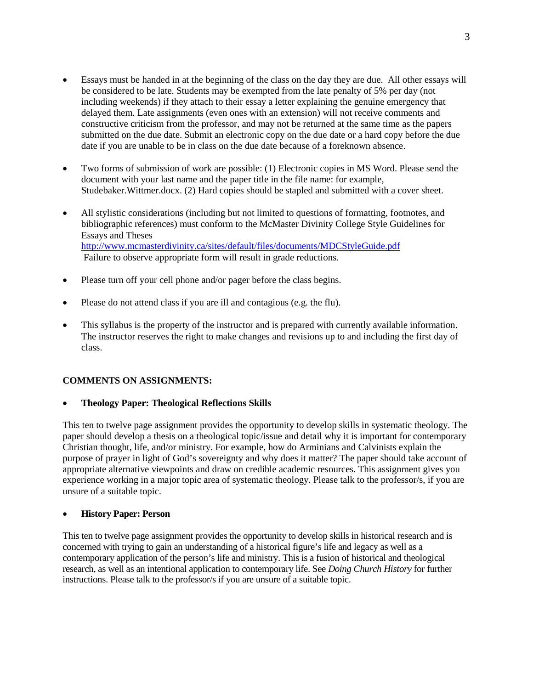- Essays must be handed in at the beginning of the class on the day they are due. All other essays will be considered to be late. Students may be exempted from the late penalty of 5% per day (not including weekends) if they attach to their essay a letter explaining the genuine emergency that delayed them. Late assignments (even ones with an extension) will not receive comments and constructive criticism from the professor, and may not be returned at the same time as the papers submitted on the due date. Submit an electronic copy on the due date or a hard copy before the due date if you are unable to be in class on the due date because of a foreknown absence.
- Two forms of submission of work are possible: (1) Electronic copies in MS Word. Please send the document with your last name and the paper title in the file name: for example, Studebaker.Wittmer.docx. (2) Hard copies should be stapled and submitted with a cover sheet.
- All stylistic considerations (including but not limited to questions of formatting, footnotes, and bibliographic references) must conform to the McMaster Divinity College Style Guidelines for Essays and Theses <http://www.mcmasterdivinity.ca/sites/default/files/documents/MDCStyleGuide.pdf> Failure to observe appropriate form will result in grade reductions.
- Please turn off your cell phone and/or pager before the class begins.
- Please do not attend class if you are ill and contagious (e.g. the flu).
- This syllabus is the property of the instructor and is prepared with currently available information. The instructor reserves the right to make changes and revisions up to and including the first day of class.

## **COMMENTS ON ASSIGNMENTS:**

### • **Theology Paper: Theological Reflections Skills**

This ten to twelve page assignment provides the opportunity to develop skills in systematic theology. The paper should develop a thesis on a theological topic/issue and detail why it is important for contemporary Christian thought, life, and/or ministry. For example, how do Arminians and Calvinists explain the purpose of prayer in light of God's sovereignty and why does it matter? The paper should take account of appropriate alternative viewpoints and draw on credible academic resources. This assignment gives you experience working in a major topic area of systematic theology. Please talk to the professor/s, if you are unsure of a suitable topic.

## • **History Paper: Person**

This ten to twelve page assignment provides the opportunity to develop skills in historical research and is concerned with trying to gain an understanding of a historical figure's life and legacy as well as a contemporary application of the person's life and ministry. This is a fusion of historical and theological research, as well as an intentional application to contemporary life. See *Doing Church History* for further instructions. Please talk to the professor/s if you are unsure of a suitable topic.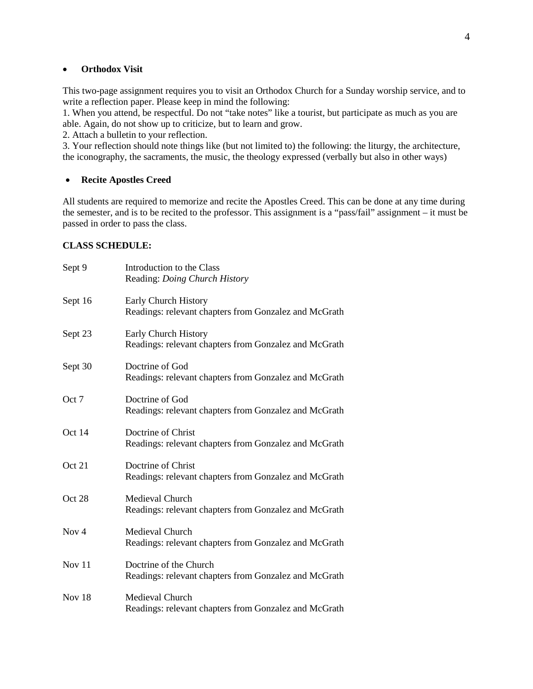### • **Orthodox Visit**

This two-page assignment requires you to visit an Orthodox Church for a Sunday worship service, and to write a reflection paper. Please keep in mind the following:

1. When you attend, be respectful. Do not "take notes" like a tourist, but participate as much as you are able. Again, do not show up to criticize, but to learn and grow.

2. Attach a bulletin to your reflection.

3. Your reflection should note things like (but not limited to) the following: the liturgy, the architecture, the iconography, the sacraments, the music, the theology expressed (verbally but also in other ways)

### • **Recite Apostles Creed**

All students are required to memorize and recite the Apostles Creed. This can be done at any time during the semester, and is to be recited to the professor. This assignment is a "pass/fail" assignment – it must be passed in order to pass the class.

### **CLASS SCHEDULE:**

| Sept 9           | Introduction to the Class<br>Reading: Doing Church History                      |
|------------------|---------------------------------------------------------------------------------|
| Sept 16          | Early Church History<br>Readings: relevant chapters from Gonzalez and McGrath   |
| Sept 23          | Early Church History<br>Readings: relevant chapters from Gonzalez and McGrath   |
| Sept 30          | Doctrine of God<br>Readings: relevant chapters from Gonzalez and McGrath        |
| Oct 7            | Doctrine of God<br>Readings: relevant chapters from Gonzalez and McGrath        |
| Oct 14           | Doctrine of Christ<br>Readings: relevant chapters from Gonzalez and McGrath     |
| Oct 21           | Doctrine of Christ<br>Readings: relevant chapters from Gonzalez and McGrath     |
| Oct 28           | Medieval Church<br>Readings: relevant chapters from Gonzalez and McGrath        |
| Nov <sub>4</sub> | Medieval Church<br>Readings: relevant chapters from Gonzalez and McGrath        |
| Nov 11           | Doctrine of the Church<br>Readings: relevant chapters from Gonzalez and McGrath |
| Nov $18$         | Medieval Church<br>Readings: relevant chapters from Gonzalez and McGrath        |